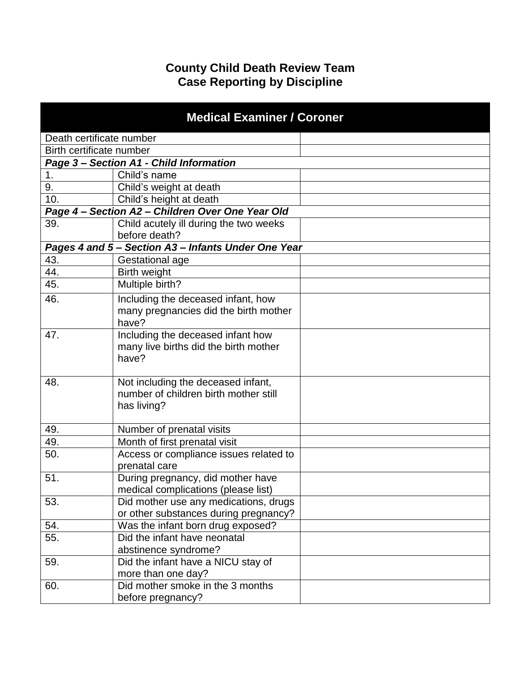## **County Child Death Review Team Case Reporting by Discipline**

| <b>Medical Examiner / Coroner</b> |                                                                                            |  |
|-----------------------------------|--------------------------------------------------------------------------------------------|--|
| Death certificate number          |                                                                                            |  |
| Birth certificate number          |                                                                                            |  |
|                                   | Page 3 - Section A1 - Child Information                                                    |  |
| 1.                                | Child's name                                                                               |  |
| 9.                                | Child's weight at death                                                                    |  |
| 10.                               | Child's height at death                                                                    |  |
|                                   | Page 4 - Section A2 - Children Over One Year Old                                           |  |
| 39.                               | Child acutely ill during the two weeks<br>before death?                                    |  |
|                                   | Pages 4 and 5 - Section A3 - Infants Under One Year                                        |  |
| 43.                               | Gestational age                                                                            |  |
| 44.                               | <b>Birth weight</b>                                                                        |  |
| 45.                               | Multiple birth?                                                                            |  |
| 46.                               | Including the deceased infant, how<br>many pregnancies did the birth mother<br>have?       |  |
| 47.                               | Including the deceased infant how<br>many live births did the birth mother<br>have?        |  |
| 48.                               | Not including the deceased infant,<br>number of children birth mother still<br>has living? |  |
| 49.                               | Number of prenatal visits                                                                  |  |
| 49.                               | Month of first prenatal visit                                                              |  |
| 50.                               | Access or compliance issues related to<br>prenatal care                                    |  |
| 51.                               | During pregnancy, did mother have<br>medical complications (please list)                   |  |
| 53.                               | Did mother use any medications, drugs<br>or other substances during pregnancy?             |  |
| 54.                               | Was the infant born drug exposed?                                                          |  |
| 55.                               | Did the infant have neonatal<br>abstinence syndrome?                                       |  |
| 59.                               | Did the infant have a NICU stay of<br>more than one day?                                   |  |
| 60.                               | Did mother smoke in the 3 months<br>before pregnancy?                                      |  |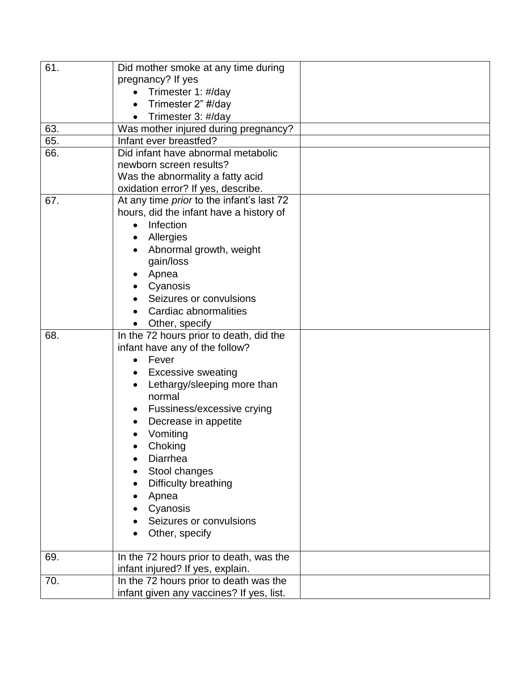| 61. | Did mother smoke at any time during              |  |
|-----|--------------------------------------------------|--|
|     | pregnancy? If yes                                |  |
|     | Trimester 1: #/day                               |  |
|     | Trimester 2" #/day<br>$\bullet$                  |  |
|     | Trimester 3: #/day                               |  |
| 63. | Was mother injured during pregnancy?             |  |
| 65. | Infant ever breastfed?                           |  |
| 66. | Did infant have abnormal metabolic               |  |
|     | newborn screen results?                          |  |
|     | Was the abnormality a fatty acid                 |  |
|     | oxidation error? If yes, describe.               |  |
| 67. | At any time <i>prior</i> to the infant's last 72 |  |
|     | hours, did the infant have a history of          |  |
|     | Infection                                        |  |
|     | Allergies                                        |  |
|     | Abnormal growth, weight                          |  |
|     | gain/loss                                        |  |
|     | Apnea                                            |  |
|     | Cyanosis                                         |  |
|     | Seizures or convulsions                          |  |
|     | Cardiac abnormalities                            |  |
|     | Other, specify                                   |  |
| 68. | In the 72 hours prior to death, did the          |  |
|     | infant have any of the follow?                   |  |
|     | Fever<br>$\bullet$                               |  |
|     | <b>Excessive sweating</b>                        |  |
|     | Lethargy/sleeping more than<br>normal            |  |
|     | Fussiness/excessive crying                       |  |
|     |                                                  |  |
|     | Decrease in appetite                             |  |
|     | Vomiting                                         |  |
|     | Choking<br><b>Diarrhea</b>                       |  |
|     | Stool changes                                    |  |
|     |                                                  |  |
|     | Difficulty breathing                             |  |
|     | Apnea<br>Cyanosis                                |  |
|     | Seizures or convulsions                          |  |
|     |                                                  |  |
|     | Other, specify                                   |  |
| 69. | In the 72 hours prior to death, was the          |  |
|     | infant injured? If yes, explain.                 |  |
| 70. | In the 72 hours prior to death was the           |  |
|     | infant given any vaccines? If yes, list.         |  |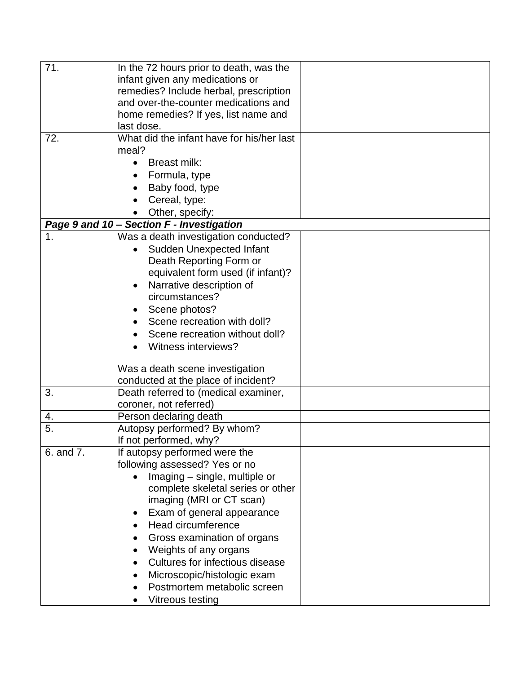| 71.       | In the 72 hours prior to death, was the   |  |
|-----------|-------------------------------------------|--|
|           | infant given any medications or           |  |
|           | remedies? Include herbal, prescription    |  |
|           | and over-the-counter medications and      |  |
|           | home remedies? If yes, list name and      |  |
|           | last dose.                                |  |
| 72.       | What did the infant have for his/her last |  |
|           | meal?                                     |  |
|           | Breast milk:                              |  |
|           | Formula, type                             |  |
|           | Baby food, type                           |  |
|           | Cereal, type:                             |  |
|           | Other, specify:                           |  |
|           | Page 9 and 10 - Section F - Investigation |  |
| 1.        | Was a death investigation conducted?      |  |
|           | <b>Sudden Unexpected Infant</b>           |  |
|           | Death Reporting Form or                   |  |
|           | equivalent form used (if infant)?         |  |
|           | Narrative description of                  |  |
|           | circumstances?                            |  |
|           | Scene photos?                             |  |
|           | Scene recreation with doll?               |  |
|           | Scene recreation without doll?            |  |
|           | Witness interviews?                       |  |
|           |                                           |  |
|           | Was a death scene investigation           |  |
|           | conducted at the place of incident?       |  |
| 3.        | Death referred to (medical examiner,      |  |
|           | coroner, not referred)                    |  |
| 4.        | Person declaring death                    |  |
| 5.        | Autopsy performed? By whom?               |  |
|           | If not performed, why?                    |  |
| 6. and 7. | If autopsy performed were the             |  |
|           | following assessed? Yes or no             |  |
|           | Imaging - single, multiple or             |  |
|           | complete skeletal series or other         |  |
|           | imaging (MRI or CT scan)                  |  |
|           | Exam of general appearance                |  |
|           | Head circumference                        |  |
|           | Gross examination of organs               |  |
|           | Weights of any organs                     |  |
|           | Cultures for infectious disease           |  |
|           | Microscopic/histologic exam               |  |
|           | Postmortem metabolic screen               |  |
|           | Vitreous testing                          |  |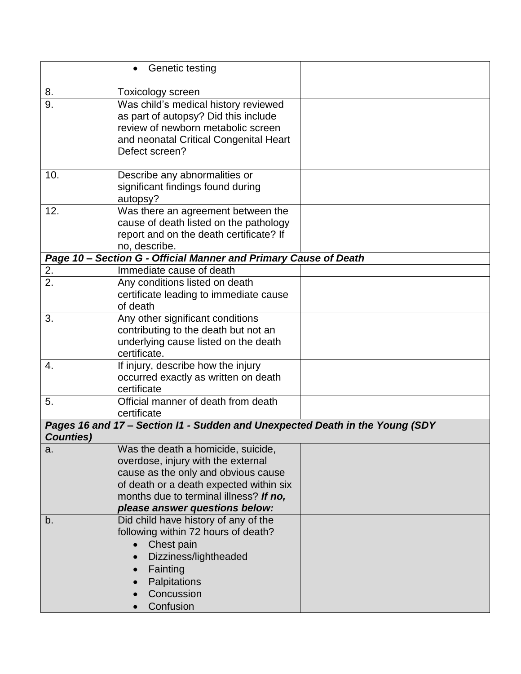|                   | Genetic testing                                                              |  |
|-------------------|------------------------------------------------------------------------------|--|
| 8.                | Toxicology screen                                                            |  |
| $\overline{9}$ .  | Was child's medical history reviewed                                         |  |
|                   | as part of autopsy? Did this include                                         |  |
|                   | review of newborn metabolic screen                                           |  |
|                   | and neonatal Critical Congenital Heart                                       |  |
|                   | Defect screen?                                                               |  |
|                   |                                                                              |  |
| 10.               | Describe any abnormalities or                                                |  |
|                   | significant findings found during                                            |  |
|                   | autopsy?                                                                     |  |
| 12.               | Was there an agreement between the                                           |  |
|                   | cause of death listed on the pathology                                       |  |
|                   | report and on the death certificate? If                                      |  |
|                   | no, describe.                                                                |  |
|                   | Page 10 - Section G - Official Manner and Primary Cause of Death             |  |
| 2.                | Immediate cause of death                                                     |  |
| 2.                | Any conditions listed on death                                               |  |
|                   | certificate leading to immediate cause                                       |  |
| 3.                | of death                                                                     |  |
|                   | Any other significant conditions<br>contributing to the death but not an     |  |
|                   | underlying cause listed on the death                                         |  |
|                   | certificate.                                                                 |  |
| 4.                | If injury, describe how the injury                                           |  |
|                   | occurred exactly as written on death                                         |  |
|                   | certificate                                                                  |  |
| 5.                | Official manner of death from death                                          |  |
|                   | certificate                                                                  |  |
|                   | Pages 16 and 17 - Section I1 - Sudden and Unexpected Death in the Young (SDY |  |
| <b>Counties</b> ) |                                                                              |  |
| a.                | Was the death a homicide, suicide,                                           |  |
|                   | overdose, injury with the external                                           |  |
|                   | cause as the only and obvious cause                                          |  |
|                   | of death or a death expected within six                                      |  |
|                   | months due to terminal illness? If no,                                       |  |
|                   | please answer questions below:                                               |  |
| b.                | Did child have history of any of the                                         |  |
|                   | following within 72 hours of death?                                          |  |
|                   | Chest pain                                                                   |  |
|                   | Dizziness/lightheaded                                                        |  |
|                   | Fainting                                                                     |  |
|                   | Palpitations                                                                 |  |
|                   | Concussion                                                                   |  |
|                   | Confusion                                                                    |  |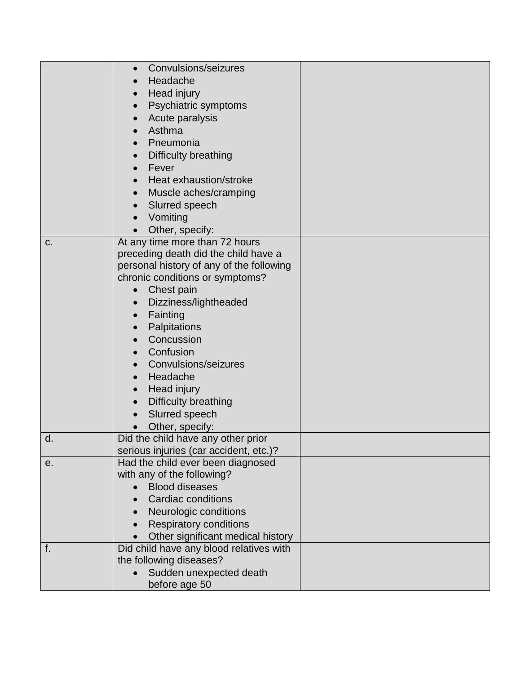|    | Convulsions/seizures<br>Headache<br>Head injury<br>Psychiatric symptoms<br>Acute paralysis<br>Asthma                                                                                                                                                                                                                                                    |  |
|----|---------------------------------------------------------------------------------------------------------------------------------------------------------------------------------------------------------------------------------------------------------------------------------------------------------------------------------------------------------|--|
|    | Pneumonia                                                                                                                                                                                                                                                                                                                                               |  |
|    | Difficulty breathing<br>Fever                                                                                                                                                                                                                                                                                                                           |  |
|    | Heat exhaustion/stroke                                                                                                                                                                                                                                                                                                                                  |  |
|    | Muscle aches/cramping<br>$\bullet$                                                                                                                                                                                                                                                                                                                      |  |
|    | Slurred speech                                                                                                                                                                                                                                                                                                                                          |  |
|    | Vomiting                                                                                                                                                                                                                                                                                                                                                |  |
|    | Other, specify:                                                                                                                                                                                                                                                                                                                                         |  |
| C. | At any time more than 72 hours<br>preceding death did the child have a<br>personal history of any of the following<br>chronic conditions or symptoms?<br>Chest pain<br>Dizziness/lightheaded<br>Fainting<br>Palpitations<br>Concussion<br>Confusion<br>Convulsions/seizures<br>Headache<br>Head injury<br><b>Difficulty breathing</b><br>Slurred speech |  |
| d. | Other, specify:<br>Did the child have any other prior                                                                                                                                                                                                                                                                                                   |  |
|    | serious injuries (car accident, etc.)?<br>Had the child ever been diagnosed                                                                                                                                                                                                                                                                             |  |
| е. | with any of the following?                                                                                                                                                                                                                                                                                                                              |  |
|    | <b>Blood diseases</b>                                                                                                                                                                                                                                                                                                                                   |  |
|    | Cardiac conditions                                                                                                                                                                                                                                                                                                                                      |  |
|    | Neurologic conditions                                                                                                                                                                                                                                                                                                                                   |  |
|    | <b>Respiratory conditions</b>                                                                                                                                                                                                                                                                                                                           |  |
|    | Other significant medical history                                                                                                                                                                                                                                                                                                                       |  |
| f. | Did child have any blood relatives with                                                                                                                                                                                                                                                                                                                 |  |
|    | the following diseases?                                                                                                                                                                                                                                                                                                                                 |  |
|    | Sudden unexpected death<br>before age 50                                                                                                                                                                                                                                                                                                                |  |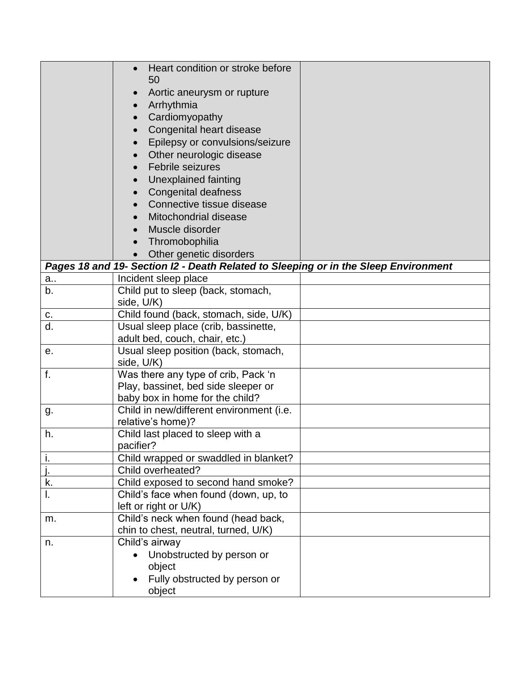|    | Heart condition or stroke before<br>50<br>Aortic aneurysm or rupture<br>Arrhythmia<br>Cardiomyopathy |  |
|----|------------------------------------------------------------------------------------------------------|--|
|    | Congenital heart disease                                                                             |  |
|    | Epilepsy or convulsions/seizure                                                                      |  |
|    | Other neurologic disease<br>Febrile seizures                                                         |  |
|    | Unexplained fainting                                                                                 |  |
|    | <b>Congenital deafness</b>                                                                           |  |
|    | Connective tissue disease                                                                            |  |
|    | Mitochondrial disease                                                                                |  |
|    | Muscle disorder                                                                                      |  |
|    | Thromobophilia                                                                                       |  |
|    | Other genetic disorders                                                                              |  |
|    | Pages 18 and 19- Section I2 - Death Related to Sleeping or in the Sleep Environment                  |  |
| a  | Incident sleep place                                                                                 |  |
| b. | Child put to sleep (back, stomach,                                                                   |  |
|    | side, U/K)                                                                                           |  |
| С. | Child found (back, stomach, side, U/K)                                                               |  |
| d. | Usual sleep place (crib, bassinette,                                                                 |  |
| е. | adult bed, couch, chair, etc.)<br>Usual sleep position (back, stomach,                               |  |
|    | side, U/K)                                                                                           |  |
| f. | Was there any type of crib, Pack 'n                                                                  |  |
|    | Play, bassinet, bed side sleeper or                                                                  |  |
|    | baby box in home for the child?                                                                      |  |
| g. | Child in new/different environment (i.e.<br>relative's home)?                                        |  |
| h. | Child last placed to sleep with a                                                                    |  |
|    | pacifier?                                                                                            |  |
| ı. | Child wrapped or swaddled in blanket?<br>Child overheated?                                           |  |
| k. | Child exposed to second hand smoke?                                                                  |  |
| I. | Child's face when found (down, up, to                                                                |  |
|    | left or right or U/K)                                                                                |  |
| m. | Child's neck when found (head back,                                                                  |  |
|    | chin to chest, neutral, turned, U/K)                                                                 |  |
| n. | Child's airway                                                                                       |  |
|    | Unobstructed by person or                                                                            |  |
|    | object                                                                                               |  |
|    | Fully obstructed by person or                                                                        |  |
|    | object                                                                                               |  |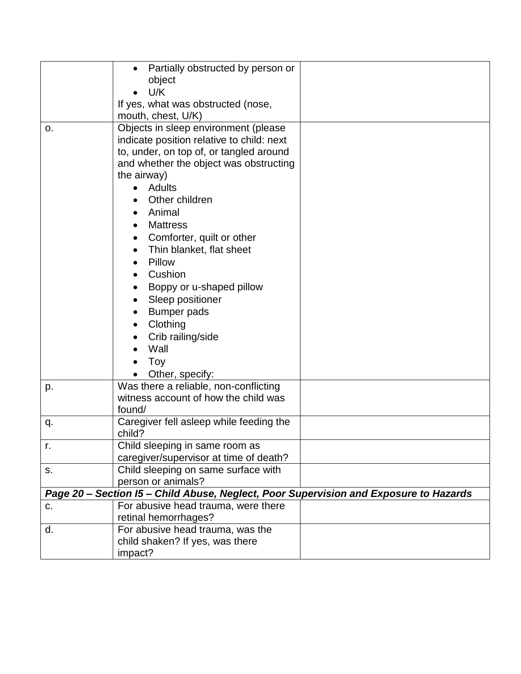|    | Partially obstructed by person or                                                     |  |
|----|---------------------------------------------------------------------------------------|--|
|    | object<br>U/K                                                                         |  |
|    | If yes, what was obstructed (nose,                                                    |  |
|    | mouth, chest, U/K)                                                                    |  |
| О. | Objects in sleep environment (please                                                  |  |
|    | indicate position relative to child: next                                             |  |
|    | to, under, on top of, or tangled around                                               |  |
|    | and whether the object was obstructing                                                |  |
|    | the airway)                                                                           |  |
|    | Adults                                                                                |  |
|    | Other children                                                                        |  |
|    | Animal                                                                                |  |
|    | <b>Mattress</b>                                                                       |  |
|    | Comforter, quilt or other                                                             |  |
|    | Thin blanket, flat sheet                                                              |  |
|    | Pillow                                                                                |  |
|    | Cushion                                                                               |  |
|    | Boppy or u-shaped pillow                                                              |  |
|    | Sleep positioner                                                                      |  |
|    | <b>Bumper pads</b>                                                                    |  |
|    | Clothing                                                                              |  |
|    | Crib railing/side                                                                     |  |
|    | Wall                                                                                  |  |
|    | Toy                                                                                   |  |
|    | Other, specify:                                                                       |  |
| p. | Was there a reliable, non-conflicting                                                 |  |
|    | witness account of how the child was                                                  |  |
|    | found/                                                                                |  |
| q. | Caregiver fell asleep while feeding the<br>child?                                     |  |
| r. | Child sleeping in same room as                                                        |  |
|    | caregiver/supervisor at time of death?                                                |  |
| S. | Child sleeping on same surface with                                                   |  |
|    | person or animals?                                                                    |  |
|    | Page 20 - Section I5 - Child Abuse, Neglect, Poor Supervision and Exposure to Hazards |  |
| C. | For abusive head trauma, were there                                                   |  |
|    | retinal hemorrhages?                                                                  |  |
| d. | For abusive head trauma, was the                                                      |  |
|    | child shaken? If yes, was there                                                       |  |
|    | impact?                                                                               |  |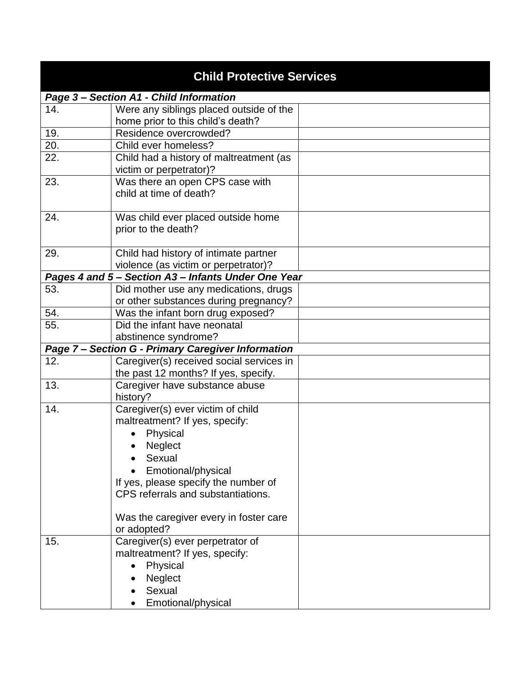| <b>Child Protective Services</b> |                                                           |  |
|----------------------------------|-----------------------------------------------------------|--|
|                                  | Page 3 - Section A1 - Child Information                   |  |
| 14.                              | Were any siblings placed outside of the                   |  |
|                                  | home prior to this child's death?                         |  |
| 19.                              | Residence overcrowded?                                    |  |
| 20.                              | Child ever homeless?                                      |  |
| 22.                              | Child had a history of maltreatment (as                   |  |
|                                  | victim or perpetrator)?                                   |  |
| 23.                              | Was there an open CPS case with                           |  |
|                                  | child at time of death?                                   |  |
| 24.                              |                                                           |  |
|                                  | Was child ever placed outside home<br>prior to the death? |  |
|                                  |                                                           |  |
| 29.                              | Child had history of intimate partner                     |  |
|                                  | violence (as victim or perpetrator)?                      |  |
|                                  | Pages 4 and 5 - Section A3 - Infants Under One Year       |  |
| 53.                              | Did mother use any medications, drugs                     |  |
|                                  | or other substances during pregnancy?                     |  |
| 54.                              | Was the infant born drug exposed?                         |  |
| 55.                              | Did the infant have neonatal                              |  |
|                                  | abstinence syndrome?                                      |  |
|                                  | Page 7 - Section G - Primary Caregiver Information        |  |
| 12.                              | Caregiver(s) received social services in                  |  |
|                                  | the past 12 months? If yes, specify.                      |  |
| 13.                              | Caregiver have substance abuse                            |  |
|                                  | history?                                                  |  |
| 14.                              | Caregiver(s) ever victim of child                         |  |
|                                  | maltreatment? If yes, specify:                            |  |
|                                  | Physical<br>$\bullet$                                     |  |
|                                  | Neglect                                                   |  |
|                                  | Sexual                                                    |  |
|                                  | Emotional/physical                                        |  |
|                                  | If yes, please specify the number of                      |  |
|                                  | CPS referrals and substantiations.                        |  |
|                                  |                                                           |  |
|                                  | Was the caregiver every in foster care                    |  |
| 15.                              | or adopted?<br>Caregiver(s) ever perpetrator of           |  |
|                                  | maltreatment? If yes, specify:                            |  |
|                                  | Physical                                                  |  |
|                                  | Neglect                                                   |  |
|                                  | Sexual                                                    |  |
|                                  |                                                           |  |
|                                  | Emotional/physical                                        |  |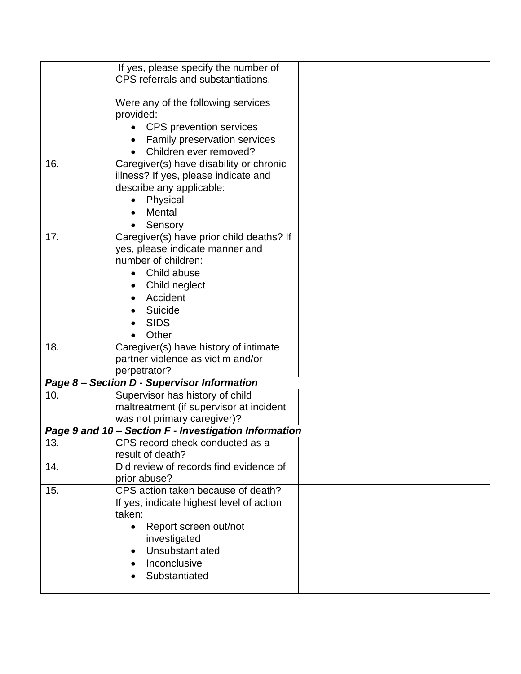|     | If yes, please specify the number of                  |  |
|-----|-------------------------------------------------------|--|
|     | CPS referrals and substantiations.                    |  |
|     |                                                       |  |
|     | Were any of the following services                    |  |
|     | provided:                                             |  |
|     | <b>CPS</b> prevention services                        |  |
|     | <b>Family preservation services</b>                   |  |
|     | Children ever removed?                                |  |
| 16. | Caregiver(s) have disability or chronic               |  |
|     | illness? If yes, please indicate and                  |  |
|     | describe any applicable:                              |  |
|     | Physical                                              |  |
|     | Mental                                                |  |
|     | Sensory                                               |  |
| 17. | Caregiver(s) have prior child deaths? If              |  |
|     | yes, please indicate manner and                       |  |
|     | number of children:                                   |  |
|     | Child abuse<br>$\bullet$                              |  |
|     | Child neglect                                         |  |
|     | Accident                                              |  |
|     |                                                       |  |
|     | Suicide                                               |  |
|     | <b>SIDS</b>                                           |  |
|     | Other                                                 |  |
| 18. | Caregiver(s) have history of intimate                 |  |
|     | partner violence as victim and/or                     |  |
|     | perpetrator?                                          |  |
|     | Page 8 - Section D - Supervisor Information           |  |
| 10. | Supervisor has history of child                       |  |
|     | maltreatment (if supervisor at incident               |  |
|     | was not primary caregiver)?                           |  |
|     | Page 9 and 10 - Section F - Investigation Information |  |
| 13. | CPS record check conducted as a                       |  |
|     | result of death?                                      |  |
| 14. | Did review of records find evidence of                |  |
|     | prior abuse?                                          |  |
| 15. | CPS action taken because of death?                    |  |
|     | If yes, indicate highest level of action              |  |
|     | taken:                                                |  |
|     | Report screen out/not<br>$\bullet$                    |  |
|     | investigated                                          |  |
|     | Unsubstantiated                                       |  |
|     | Inconclusive                                          |  |
|     | Substantiated                                         |  |
|     |                                                       |  |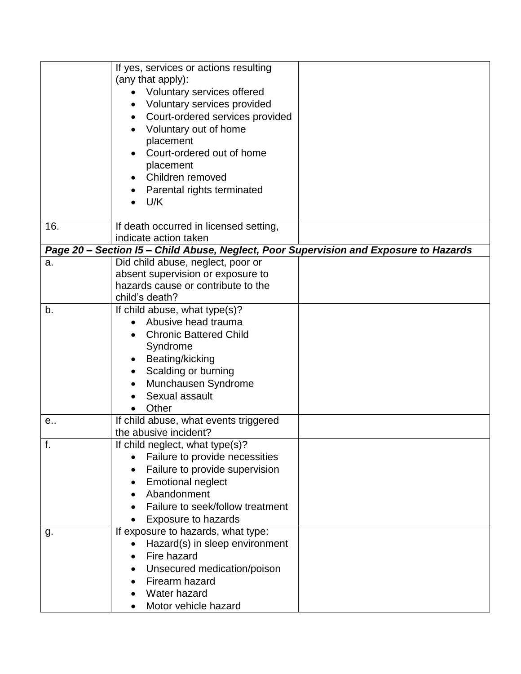|     | If yes, services or actions resulting<br>(any that apply):<br>Voluntary services offered<br>Voluntary services provided<br>Court-ordered services provided<br>Voluntary out of home<br>placement<br>Court-ordered out of home       |  |
|-----|-------------------------------------------------------------------------------------------------------------------------------------------------------------------------------------------------------------------------------------|--|
|     | placement<br>Children removed<br>Parental rights terminated<br>U/K                                                                                                                                                                  |  |
| 16. | If death occurred in licensed setting,<br>indicate action taken                                                                                                                                                                     |  |
|     | Page 20 - Section I5 - Child Abuse, Neglect, Poor Supervision and Exposure to Hazards                                                                                                                                               |  |
| a.  | Did child abuse, neglect, poor or<br>absent supervision or exposure to<br>hazards cause or contribute to the<br>child's death?                                                                                                      |  |
| b.  | If child abuse, what type(s)?<br>Abusive head trauma<br><b>Chronic Battered Child</b><br>Syndrome<br>Beating/kicking<br>Scalding or burning<br>Munchausen Syndrome<br>Sexual assault<br>Other                                       |  |
| e   | If child abuse, what events triggered<br>the abusive incident?                                                                                                                                                                      |  |
| т.  | If child neglect, what type(s)?<br>Failure to provide necessities<br>$\bullet$<br>Failure to provide supervision<br><b>Emotional neglect</b><br>$\bullet$<br>Abandonment<br>Failure to seek/follow treatment<br>Exposure to hazards |  |
| g.  | If exposure to hazards, what type:<br>Hazard(s) in sleep environment<br>$\bullet$<br>Fire hazard<br>Unsecured medication/poison<br>Firearm hazard<br><b>Water hazard</b><br>Motor vehicle hazard                                    |  |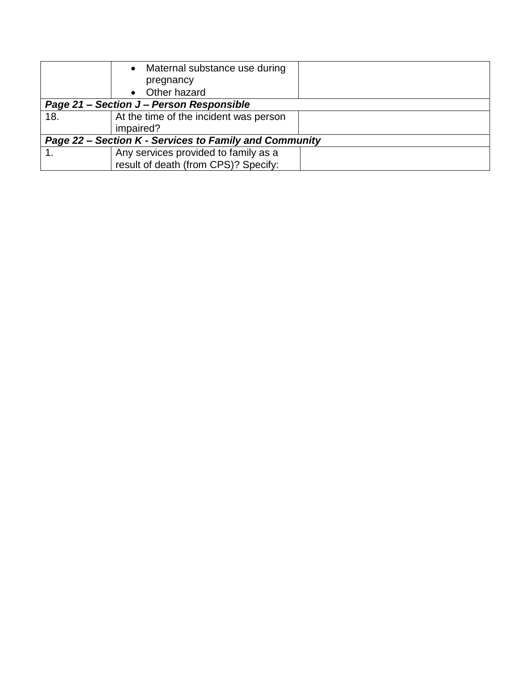|                                                        | • Maternal substance use during          |  |
|--------------------------------------------------------|------------------------------------------|--|
|                                                        | pregnancy                                |  |
|                                                        | • Other hazard                           |  |
|                                                        | Page 21 – Section J – Person Responsible |  |
| 18.                                                    | At the time of the incident was person   |  |
|                                                        | impaired?                                |  |
| Page 22 – Section K - Services to Family and Community |                                          |  |
|                                                        | Any services provided to family as a     |  |
|                                                        | result of death (from CPS)? Specify:     |  |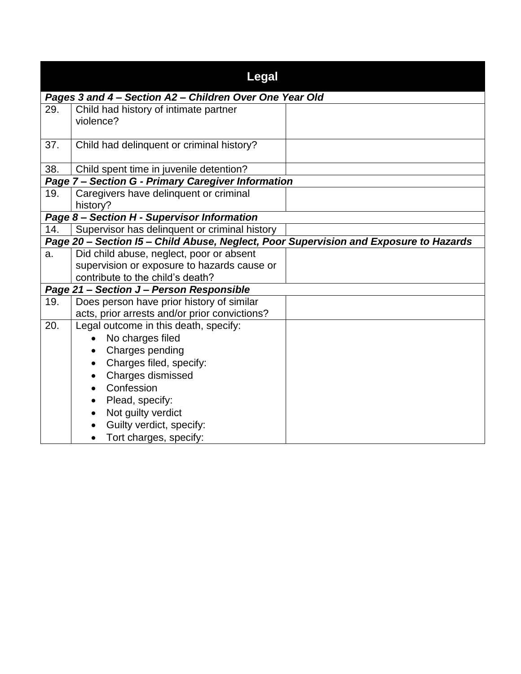|     | Legal                                                                                 |  |
|-----|---------------------------------------------------------------------------------------|--|
|     | Pages 3 and 4 - Section A2 - Children Over One Year Old                               |  |
| 29. | Child had history of intimate partner                                                 |  |
|     | violence?                                                                             |  |
| 37. | Child had delinquent or criminal history?                                             |  |
|     |                                                                                       |  |
| 38. | Child spent time in juvenile detention?                                               |  |
|     | Page 7 - Section G - Primary Caregiver Information                                    |  |
| 19. | Caregivers have delinquent or criminal                                                |  |
|     | history?                                                                              |  |
|     | Page 8 - Section H - Supervisor Information                                           |  |
| 14. | Supervisor has delinquent or criminal history                                         |  |
|     | Page 20 - Section I5 - Child Abuse, Neglect, Poor Supervision and Exposure to Hazards |  |
| a.  | Did child abuse, neglect, poor or absent                                              |  |
|     | supervision or exposure to hazards cause or                                           |  |
|     | contribute to the child's death?                                                      |  |
|     | Page 21 - Section J - Person Responsible                                              |  |
| 19. | Does person have prior history of similar                                             |  |
|     | acts, prior arrests and/or prior convictions?                                         |  |
| 20. | Legal outcome in this death, specify:                                                 |  |
|     | No charges filed                                                                      |  |
|     | Charges pending                                                                       |  |
|     | Charges filed, specify:<br>$\bullet$                                                  |  |
|     | Charges dismissed                                                                     |  |
|     | Confession<br>$\bullet$                                                               |  |
|     | Plead, specify:<br>٠                                                                  |  |
|     | Not guilty verdict<br>$\bullet$                                                       |  |
|     | Guilty verdict, specify:                                                              |  |
|     | Tort charges, specify:<br>$\bullet$                                                   |  |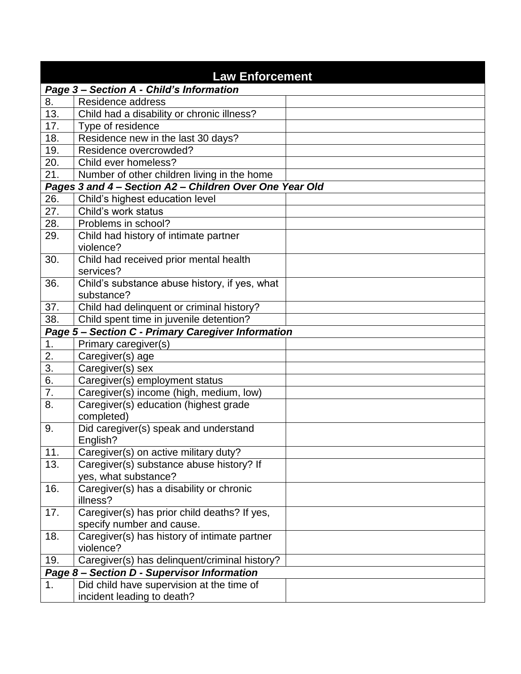| <b>Law Enforcement</b> |                                                         |  |  |
|------------------------|---------------------------------------------------------|--|--|
|                        | Page 3 - Section A - Child's Information                |  |  |
| 8.                     | Residence address                                       |  |  |
| 13.                    | Child had a disability or chronic illness?              |  |  |
| 17.                    | Type of residence                                       |  |  |
| 18.                    | Residence new in the last 30 days?                      |  |  |
| 19.                    | Residence overcrowded?                                  |  |  |
| 20.                    | Child ever homeless?                                    |  |  |
| 21.                    | Number of other children living in the home             |  |  |
|                        | Pages 3 and 4 - Section A2 - Children Over One Year Old |  |  |
| 26.                    | Child's highest education level                         |  |  |
| 27.                    | Child's work status                                     |  |  |
| 28.                    | Problems in school?                                     |  |  |
| 29.                    | Child had history of intimate partner                   |  |  |
|                        | violence?                                               |  |  |
| 30.                    | Child had received prior mental health                  |  |  |
|                        | services?                                               |  |  |
| 36.                    | Child's substance abuse history, if yes, what           |  |  |
|                        | substance?                                              |  |  |
| 37.                    | Child had delinquent or criminal history?               |  |  |
| 38.                    | Child spent time in juvenile detention?                 |  |  |
|                        | Page 5 - Section C - Primary Caregiver Information      |  |  |
| 1.                     | Primary caregiver(s)                                    |  |  |
| 2.                     | Caregiver(s) age                                        |  |  |
| $\overline{3}$ .       | Caregiver(s) sex                                        |  |  |
| 6.                     | Caregiver(s) employment status                          |  |  |
| 7.                     | Caregiver(s) income (high, medium, low)                 |  |  |
| 8.                     | Caregiver(s) education (highest grade                   |  |  |
|                        | completed)                                              |  |  |
| 9.                     | Did caregiver(s) speak and understand                   |  |  |
|                        | English?                                                |  |  |
| 11.                    | Caregiver(s) on active military duty?                   |  |  |
| 13.                    | Caregiver(s) substance abuse history? If                |  |  |
|                        | yes, what substance?                                    |  |  |
| 16.                    | Caregiver(s) has a disability or chronic                |  |  |
|                        | illness?                                                |  |  |
| 17.                    | Caregiver(s) has prior child deaths? If yes,            |  |  |
|                        | specify number and cause.                               |  |  |
| 18.                    | Caregiver(s) has history of intimate partner            |  |  |
|                        | violence?                                               |  |  |
| 19.                    | Caregiver(s) has delinquent/criminal history?           |  |  |
|                        | Page 8 - Section D - Supervisor Information             |  |  |
| 1.                     | Did child have supervision at the time of               |  |  |
|                        | incident leading to death?                              |  |  |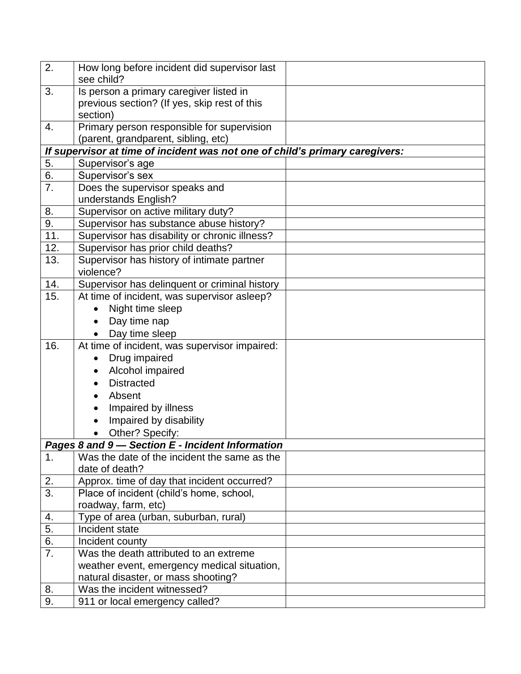| 2.               | How long before incident did supervisor last                                 |  |
|------------------|------------------------------------------------------------------------------|--|
|                  | see child?                                                                   |  |
| 3.               | Is person a primary caregiver listed in                                      |  |
|                  | previous section? (If yes, skip rest of this                                 |  |
|                  | section)                                                                     |  |
| 4.               | Primary person responsible for supervision                                   |  |
|                  | (parent, grandparent, sibling, etc)                                          |  |
|                  | If supervisor at time of incident was not one of child's primary caregivers: |  |
| 5.               | Supervisor's age                                                             |  |
| 6.               | Supervisor's sex                                                             |  |
| 7.               | Does the supervisor speaks and                                               |  |
|                  | understands English?                                                         |  |
| 8.               | Supervisor on active military duty?                                          |  |
| $\overline{9}$ . | Supervisor has substance abuse history?                                      |  |
| 11.              | Supervisor has disability or chronic illness?                                |  |
| 12.              | Supervisor has prior child deaths?                                           |  |
| 13.              | Supervisor has history of intimate partner<br>violence?                      |  |
| 14.              | Supervisor has delinquent or criminal history                                |  |
| 15.              | At time of incident, was supervisor asleep?                                  |  |
|                  | Night time sleep<br>$\bullet$                                                |  |
|                  | Day time nap                                                                 |  |
|                  | Day time sleep                                                               |  |
| 16.              | At time of incident, was supervisor impaired:                                |  |
|                  | Drug impaired<br>$\bullet$                                                   |  |
|                  | Alcohol impaired<br>$\bullet$                                                |  |
|                  | <b>Distracted</b>                                                            |  |
|                  | Absent<br>$\bullet$                                                          |  |
|                  | Impaired by illness                                                          |  |
|                  | Impaired by disability                                                       |  |
|                  | Other? Specify:                                                              |  |
|                  | Pages 8 and 9-Section E - Incident Information                               |  |
| 1.               | Was the date of the incident the same as the                                 |  |
|                  | date of death?                                                               |  |
| $\frac{2}{3}$ .  | Approx. time of day that incident occurred?                                  |  |
|                  | Place of incident (child's home, school,                                     |  |
|                  | roadway, farm, etc)                                                          |  |
| 4.               | Type of area (urban, suburban, rural)                                        |  |
| 5.               | Incident state                                                               |  |
| 6.               | Incident county                                                              |  |
| 7.               | Was the death attributed to an extreme                                       |  |
|                  | weather event, emergency medical situation,                                  |  |
|                  | natural disaster, or mass shooting?                                          |  |
| 8.               | Was the incident witnessed?                                                  |  |
| 9.               | 911 or local emergency called?                                               |  |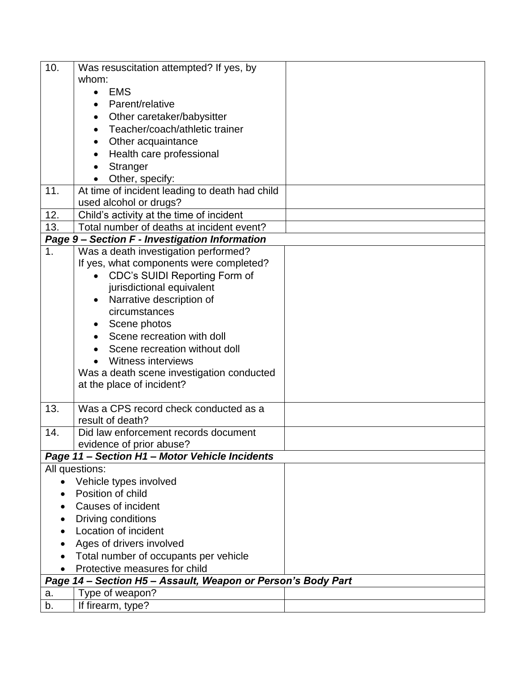| 10. | Was resuscitation attempted? If yes, by                      |  |
|-----|--------------------------------------------------------------|--|
|     | whom:                                                        |  |
|     | <b>EMS</b><br>$\bullet$                                      |  |
|     | Parent/relative<br>$\bullet$                                 |  |
|     | Other caretaker/babysitter<br>$\bullet$                      |  |
|     | Teacher/coach/athletic trainer<br>$\bullet$                  |  |
|     | Other acquaintance<br>$\bullet$                              |  |
|     | Health care professional<br>$\bullet$                        |  |
|     | Stranger                                                     |  |
|     | Other, specify:                                              |  |
| 11. | At time of incident leading to death had child               |  |
|     | used alcohol or drugs?                                       |  |
| 12. | Child's activity at the time of incident                     |  |
| 13. | Total number of deaths at incident event?                    |  |
|     | Page 9 - Section F - Investigation Information               |  |
| 1.  | Was a death investigation performed?                         |  |
|     | If yes, what components were completed?                      |  |
|     | CDC's SUIDI Reporting Form of                                |  |
|     | jurisdictional equivalent                                    |  |
|     | Narrative description of<br>$\bullet$                        |  |
|     | circumstances                                                |  |
|     | Scene photos<br>$\bullet$                                    |  |
|     | Scene recreation with doll<br>$\bullet$                      |  |
|     | Scene recreation without doll                                |  |
|     | Witness interviews                                           |  |
|     | Was a death scene investigation conducted                    |  |
|     | at the place of incident?                                    |  |
| 13. | Was a CPS record check conducted as a                        |  |
|     | result of death?                                             |  |
| 14. | Did law enforcement records document                         |  |
|     | evidence of prior abuse?                                     |  |
|     | Page 11 - Section H1 - Motor Vehicle Incidents               |  |
|     | All questions:                                               |  |
|     | Vehicle types involved                                       |  |
|     | Position of child                                            |  |
|     | Causes of incident                                           |  |
|     | Driving conditions                                           |  |
|     | Location of incident                                         |  |
|     | Ages of drivers involved                                     |  |
|     | Total number of occupants per vehicle                        |  |
|     | Protective measures for child                                |  |
|     | Page 14 - Section H5 - Assault, Weapon or Person's Body Part |  |
| a.  | Type of weapon?                                              |  |
| b.  | If firearm, type?                                            |  |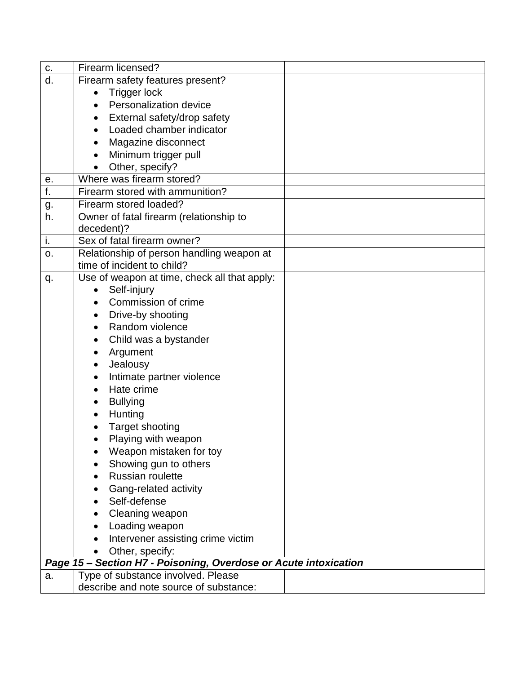| c.        | Firearm licensed?                                                |  |
|-----------|------------------------------------------------------------------|--|
| d.        | Firearm safety features present?                                 |  |
|           | <b>Trigger lock</b><br>$\bullet$                                 |  |
|           | Personalization device<br>$\bullet$                              |  |
|           | External safety/drop safety<br>$\bullet$                         |  |
|           | Loaded chamber indicator<br>$\bullet$                            |  |
|           | Magazine disconnect<br>$\bullet$                                 |  |
|           | Minimum trigger pull<br>$\bullet$                                |  |
|           | Other, specify?                                                  |  |
| е.        | Where was firearm stored?                                        |  |
| f.        | Firearm stored with ammunition?                                  |  |
| <u>g.</u> | Firearm stored loaded?                                           |  |
| h.        | Owner of fatal firearm (relationship to                          |  |
|           | decedent)?                                                       |  |
| i.        | Sex of fatal firearm owner?                                      |  |
| o.        | Relationship of person handling weapon at                        |  |
|           | time of incident to child?                                       |  |
| q.        | Use of weapon at time, check all that apply:                     |  |
|           | Self-injury<br>$\bullet$                                         |  |
|           | Commission of crime                                              |  |
|           | Drive-by shooting<br>$\bullet$                                   |  |
|           | Random violence<br>$\bullet$                                     |  |
|           | Child was a bystander<br>٠                                       |  |
|           | Argument<br>$\bullet$                                            |  |
|           | Jealousy<br>$\bullet$                                            |  |
|           | Intimate partner violence<br>$\bullet$                           |  |
|           | Hate crime<br>$\bullet$                                          |  |
|           | <b>Bullying</b><br>$\bullet$                                     |  |
|           | Hunting<br>$\bullet$                                             |  |
|           | Target shooting                                                  |  |
|           | Playing with weapon                                              |  |
|           | Weapon mistaken for toy                                          |  |
|           | Showing gun to others                                            |  |
|           | Russian roulette                                                 |  |
|           | Gang-related activity<br>٠                                       |  |
|           | Self-defense                                                     |  |
|           | Cleaning weapon                                                  |  |
|           | Loading weapon<br>$\bullet$                                      |  |
|           | Intervener assisting crime victim                                |  |
|           | Other, specify:                                                  |  |
|           | Page 15 - Section H7 - Poisoning, Overdose or Acute intoxication |  |
| a.        | Type of substance involved. Please                               |  |
|           | describe and note source of substance:                           |  |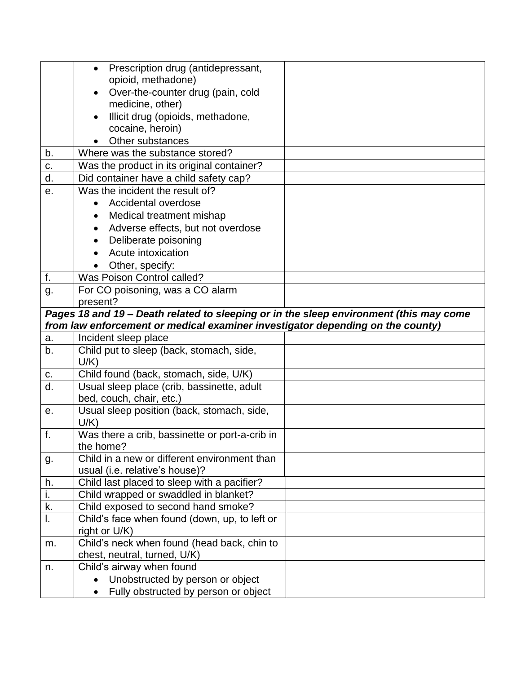|    | Prescription drug (antidepressant,<br>$\bullet$                                        |  |
|----|----------------------------------------------------------------------------------------|--|
|    | opioid, methadone)                                                                     |  |
|    | Over-the-counter drug (pain, cold                                                      |  |
|    | medicine, other)                                                                       |  |
|    | Illicit drug (opioids, methadone,                                                      |  |
|    | cocaine, heroin)                                                                       |  |
|    | Other substances                                                                       |  |
| b. | Where was the substance stored?                                                        |  |
| c. | Was the product in its original container?                                             |  |
| d. | Did container have a child safety cap?                                                 |  |
| e. | Was the incident the result of?                                                        |  |
|    | Accidental overdose<br>$\bullet$                                                       |  |
|    | Medical treatment mishap<br>$\bullet$                                                  |  |
|    | Adverse effects, but not overdose<br>$\bullet$                                         |  |
|    | Deliberate poisoning                                                                   |  |
|    | Acute intoxication                                                                     |  |
|    | Other, specify:                                                                        |  |
| f. | Was Poison Control called?                                                             |  |
| g. | For CO poisoning, was a CO alarm                                                       |  |
|    | present?                                                                               |  |
|    | Pages 18 and 19 - Death related to sleeping or in the sleep environment (this may come |  |
|    |                                                                                        |  |
|    | from law enforcement or medical examiner investigator depending on the county)         |  |
| a. | Incident sleep place                                                                   |  |
| b. | Child put to sleep (back, stomach, side,                                               |  |
|    | $U/K$ )                                                                                |  |
| c. | Child found (back, stomach, side, U/K)                                                 |  |
| d. | Usual sleep place (crib, bassinette, adult                                             |  |
|    | bed, couch, chair, etc.)                                                               |  |
| е. | Usual sleep position (back, stomach, side,                                             |  |
|    | $U/K$ )                                                                                |  |
| f. | Was there a crib, bassinette or port-a-crib in                                         |  |
|    | the home?                                                                              |  |
| g. | Child in a new or different environment than                                           |  |
|    | usual (i.e. relative's house)?                                                         |  |
| h. | Child last placed to sleep with a pacifier?                                            |  |
| i. | Child wrapped or swaddled in blanket?                                                  |  |
| k. | Child exposed to second hand smoke?                                                    |  |
| I. | Child's face when found (down, up, to left or                                          |  |
|    | right or U/K)                                                                          |  |
| m. | Child's neck when found (head back, chin to                                            |  |
|    | chest, neutral, turned, U/K)                                                           |  |
| n. | Child's airway when found                                                              |  |
|    | Unobstructed by person or object<br>Fully obstructed by person or object               |  |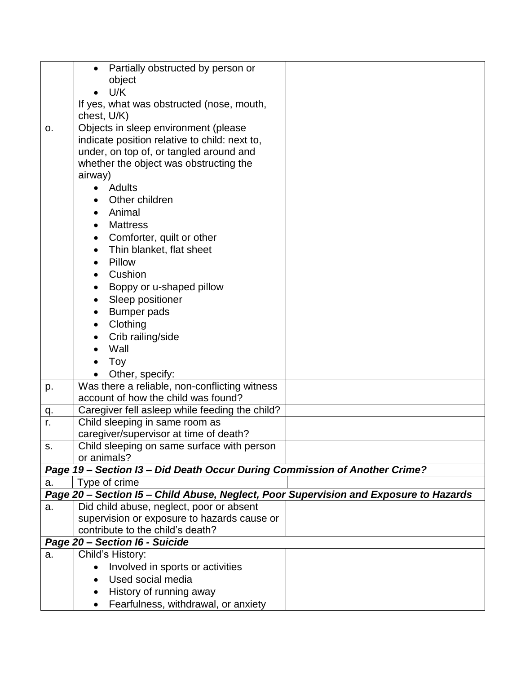| object<br>U/K<br>$\bullet$<br>If yes, what was obstructed (nose, mouth,<br>chest, U/K)<br>Objects in sleep environment (please<br>0.<br>indicate position relative to child: next to,<br>under, on top of, or tangled around and<br>whether the object was obstructing the<br>airway)<br>Adults<br>Other children<br>Animal<br>$\bullet$<br><b>Mattress</b><br>Comforter, quilt or other<br>$\bullet$<br>Thin blanket, flat sheet<br>Pillow<br>Cushion<br>Boppy or u-shaped pillow<br>$\bullet$<br>Sleep positioner<br><b>Bumper pads</b><br>Clothing<br>Crib railing/side<br>Wall<br>Toy<br>Other, specify:<br>Was there a reliable, non-conflicting witness<br>p.<br>account of how the child was found?<br>Caregiver fell asleep while feeding the child?<br>q.<br>Child sleeping in same room as<br>r.<br>caregiver/supervisor at time of death?<br>Child sleeping on same surface with person<br>s.<br>or animals?<br>Page 19 - Section I3 - Did Death Occur During Commission of Another Crime?<br>Type of crime<br>а.<br>Page 20 - Section I5 - Child Abuse, Neglect, Poor Supervision and Exposure to Hazards<br>Did child abuse, neglect, poor or absent<br>a.<br>supervision or exposure to hazards cause or<br>contribute to the child's death? | Page 20 - Section I6 - Suicide<br>Child's History:<br>a.<br>Involved in sports or activities<br>Used social media<br>History of running away | Partially obstructed by person or<br>$\bullet$ |  |
|------------------------------------------------------------------------------------------------------------------------------------------------------------------------------------------------------------------------------------------------------------------------------------------------------------------------------------------------------------------------------------------------------------------------------------------------------------------------------------------------------------------------------------------------------------------------------------------------------------------------------------------------------------------------------------------------------------------------------------------------------------------------------------------------------------------------------------------------------------------------------------------------------------------------------------------------------------------------------------------------------------------------------------------------------------------------------------------------------------------------------------------------------------------------------------------------------------------------------------------------------------|----------------------------------------------------------------------------------------------------------------------------------------------|------------------------------------------------|--|
|                                                                                                                                                                                                                                                                                                                                                                                                                                                                                                                                                                                                                                                                                                                                                                                                                                                                                                                                                                                                                                                                                                                                                                                                                                                            |                                                                                                                                              |                                                |  |
|                                                                                                                                                                                                                                                                                                                                                                                                                                                                                                                                                                                                                                                                                                                                                                                                                                                                                                                                                                                                                                                                                                                                                                                                                                                            |                                                                                                                                              |                                                |  |
|                                                                                                                                                                                                                                                                                                                                                                                                                                                                                                                                                                                                                                                                                                                                                                                                                                                                                                                                                                                                                                                                                                                                                                                                                                                            |                                                                                                                                              |                                                |  |
|                                                                                                                                                                                                                                                                                                                                                                                                                                                                                                                                                                                                                                                                                                                                                                                                                                                                                                                                                                                                                                                                                                                                                                                                                                                            |                                                                                                                                              |                                                |  |
|                                                                                                                                                                                                                                                                                                                                                                                                                                                                                                                                                                                                                                                                                                                                                                                                                                                                                                                                                                                                                                                                                                                                                                                                                                                            |                                                                                                                                              |                                                |  |
|                                                                                                                                                                                                                                                                                                                                                                                                                                                                                                                                                                                                                                                                                                                                                                                                                                                                                                                                                                                                                                                                                                                                                                                                                                                            |                                                                                                                                              |                                                |  |
|                                                                                                                                                                                                                                                                                                                                                                                                                                                                                                                                                                                                                                                                                                                                                                                                                                                                                                                                                                                                                                                                                                                                                                                                                                                            |                                                                                                                                              |                                                |  |
|                                                                                                                                                                                                                                                                                                                                                                                                                                                                                                                                                                                                                                                                                                                                                                                                                                                                                                                                                                                                                                                                                                                                                                                                                                                            |                                                                                                                                              |                                                |  |
|                                                                                                                                                                                                                                                                                                                                                                                                                                                                                                                                                                                                                                                                                                                                                                                                                                                                                                                                                                                                                                                                                                                                                                                                                                                            |                                                                                                                                              |                                                |  |
|                                                                                                                                                                                                                                                                                                                                                                                                                                                                                                                                                                                                                                                                                                                                                                                                                                                                                                                                                                                                                                                                                                                                                                                                                                                            |                                                                                                                                              |                                                |  |
|                                                                                                                                                                                                                                                                                                                                                                                                                                                                                                                                                                                                                                                                                                                                                                                                                                                                                                                                                                                                                                                                                                                                                                                                                                                            |                                                                                                                                              |                                                |  |
|                                                                                                                                                                                                                                                                                                                                                                                                                                                                                                                                                                                                                                                                                                                                                                                                                                                                                                                                                                                                                                                                                                                                                                                                                                                            |                                                                                                                                              |                                                |  |
|                                                                                                                                                                                                                                                                                                                                                                                                                                                                                                                                                                                                                                                                                                                                                                                                                                                                                                                                                                                                                                                                                                                                                                                                                                                            |                                                                                                                                              |                                                |  |
|                                                                                                                                                                                                                                                                                                                                                                                                                                                                                                                                                                                                                                                                                                                                                                                                                                                                                                                                                                                                                                                                                                                                                                                                                                                            |                                                                                                                                              |                                                |  |
|                                                                                                                                                                                                                                                                                                                                                                                                                                                                                                                                                                                                                                                                                                                                                                                                                                                                                                                                                                                                                                                                                                                                                                                                                                                            |                                                                                                                                              |                                                |  |
|                                                                                                                                                                                                                                                                                                                                                                                                                                                                                                                                                                                                                                                                                                                                                                                                                                                                                                                                                                                                                                                                                                                                                                                                                                                            |                                                                                                                                              |                                                |  |
|                                                                                                                                                                                                                                                                                                                                                                                                                                                                                                                                                                                                                                                                                                                                                                                                                                                                                                                                                                                                                                                                                                                                                                                                                                                            |                                                                                                                                              |                                                |  |
|                                                                                                                                                                                                                                                                                                                                                                                                                                                                                                                                                                                                                                                                                                                                                                                                                                                                                                                                                                                                                                                                                                                                                                                                                                                            |                                                                                                                                              |                                                |  |
|                                                                                                                                                                                                                                                                                                                                                                                                                                                                                                                                                                                                                                                                                                                                                                                                                                                                                                                                                                                                                                                                                                                                                                                                                                                            |                                                                                                                                              |                                                |  |
|                                                                                                                                                                                                                                                                                                                                                                                                                                                                                                                                                                                                                                                                                                                                                                                                                                                                                                                                                                                                                                                                                                                                                                                                                                                            |                                                                                                                                              |                                                |  |
|                                                                                                                                                                                                                                                                                                                                                                                                                                                                                                                                                                                                                                                                                                                                                                                                                                                                                                                                                                                                                                                                                                                                                                                                                                                            |                                                                                                                                              |                                                |  |
|                                                                                                                                                                                                                                                                                                                                                                                                                                                                                                                                                                                                                                                                                                                                                                                                                                                                                                                                                                                                                                                                                                                                                                                                                                                            |                                                                                                                                              |                                                |  |
|                                                                                                                                                                                                                                                                                                                                                                                                                                                                                                                                                                                                                                                                                                                                                                                                                                                                                                                                                                                                                                                                                                                                                                                                                                                            |                                                                                                                                              |                                                |  |
|                                                                                                                                                                                                                                                                                                                                                                                                                                                                                                                                                                                                                                                                                                                                                                                                                                                                                                                                                                                                                                                                                                                                                                                                                                                            |                                                                                                                                              |                                                |  |
|                                                                                                                                                                                                                                                                                                                                                                                                                                                                                                                                                                                                                                                                                                                                                                                                                                                                                                                                                                                                                                                                                                                                                                                                                                                            |                                                                                                                                              |                                                |  |
|                                                                                                                                                                                                                                                                                                                                                                                                                                                                                                                                                                                                                                                                                                                                                                                                                                                                                                                                                                                                                                                                                                                                                                                                                                                            |                                                                                                                                              |                                                |  |
|                                                                                                                                                                                                                                                                                                                                                                                                                                                                                                                                                                                                                                                                                                                                                                                                                                                                                                                                                                                                                                                                                                                                                                                                                                                            |                                                                                                                                              |                                                |  |
|                                                                                                                                                                                                                                                                                                                                                                                                                                                                                                                                                                                                                                                                                                                                                                                                                                                                                                                                                                                                                                                                                                                                                                                                                                                            |                                                                                                                                              |                                                |  |
|                                                                                                                                                                                                                                                                                                                                                                                                                                                                                                                                                                                                                                                                                                                                                                                                                                                                                                                                                                                                                                                                                                                                                                                                                                                            |                                                                                                                                              |                                                |  |
|                                                                                                                                                                                                                                                                                                                                                                                                                                                                                                                                                                                                                                                                                                                                                                                                                                                                                                                                                                                                                                                                                                                                                                                                                                                            |                                                                                                                                              |                                                |  |
|                                                                                                                                                                                                                                                                                                                                                                                                                                                                                                                                                                                                                                                                                                                                                                                                                                                                                                                                                                                                                                                                                                                                                                                                                                                            |                                                                                                                                              |                                                |  |
|                                                                                                                                                                                                                                                                                                                                                                                                                                                                                                                                                                                                                                                                                                                                                                                                                                                                                                                                                                                                                                                                                                                                                                                                                                                            |                                                                                                                                              |                                                |  |
|                                                                                                                                                                                                                                                                                                                                                                                                                                                                                                                                                                                                                                                                                                                                                                                                                                                                                                                                                                                                                                                                                                                                                                                                                                                            |                                                                                                                                              |                                                |  |
|                                                                                                                                                                                                                                                                                                                                                                                                                                                                                                                                                                                                                                                                                                                                                                                                                                                                                                                                                                                                                                                                                                                                                                                                                                                            |                                                                                                                                              |                                                |  |
|                                                                                                                                                                                                                                                                                                                                                                                                                                                                                                                                                                                                                                                                                                                                                                                                                                                                                                                                                                                                                                                                                                                                                                                                                                                            |                                                                                                                                              |                                                |  |
|                                                                                                                                                                                                                                                                                                                                                                                                                                                                                                                                                                                                                                                                                                                                                                                                                                                                                                                                                                                                                                                                                                                                                                                                                                                            |                                                                                                                                              |                                                |  |
|                                                                                                                                                                                                                                                                                                                                                                                                                                                                                                                                                                                                                                                                                                                                                                                                                                                                                                                                                                                                                                                                                                                                                                                                                                                            |                                                                                                                                              |                                                |  |
|                                                                                                                                                                                                                                                                                                                                                                                                                                                                                                                                                                                                                                                                                                                                                                                                                                                                                                                                                                                                                                                                                                                                                                                                                                                            |                                                                                                                                              |                                                |  |
|                                                                                                                                                                                                                                                                                                                                                                                                                                                                                                                                                                                                                                                                                                                                                                                                                                                                                                                                                                                                                                                                                                                                                                                                                                                            |                                                                                                                                              |                                                |  |
|                                                                                                                                                                                                                                                                                                                                                                                                                                                                                                                                                                                                                                                                                                                                                                                                                                                                                                                                                                                                                                                                                                                                                                                                                                                            |                                                                                                                                              |                                                |  |
|                                                                                                                                                                                                                                                                                                                                                                                                                                                                                                                                                                                                                                                                                                                                                                                                                                                                                                                                                                                                                                                                                                                                                                                                                                                            |                                                                                                                                              |                                                |  |
|                                                                                                                                                                                                                                                                                                                                                                                                                                                                                                                                                                                                                                                                                                                                                                                                                                                                                                                                                                                                                                                                                                                                                                                                                                                            |                                                                                                                                              |                                                |  |
|                                                                                                                                                                                                                                                                                                                                                                                                                                                                                                                                                                                                                                                                                                                                                                                                                                                                                                                                                                                                                                                                                                                                                                                                                                                            |                                                                                                                                              | Fearfulness, withdrawal, or anxiety            |  |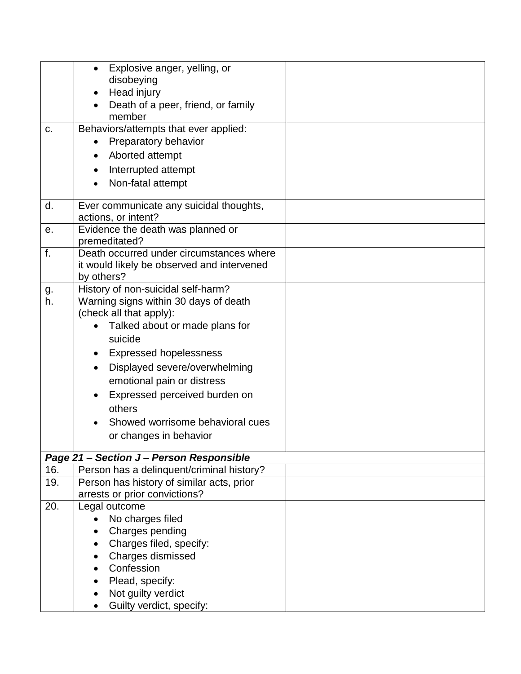|                 | Explosive anger, yelling, or<br>$\bullet$                                              |  |
|-----------------|----------------------------------------------------------------------------------------|--|
|                 | disobeying                                                                             |  |
|                 | Head injury<br>$\bullet$                                                               |  |
|                 | Death of a peer, friend, or family                                                     |  |
|                 | member                                                                                 |  |
| c.              | Behaviors/attempts that ever applied:                                                  |  |
|                 | Preparatory behavior<br>$\bullet$                                                      |  |
|                 | Aborted attempt<br>$\bullet$                                                           |  |
|                 | Interrupted attempt<br>$\bullet$                                                       |  |
|                 | Non-fatal attempt                                                                      |  |
|                 |                                                                                        |  |
| d.              | Ever communicate any suicidal thoughts,                                                |  |
|                 | actions, or intent?                                                                    |  |
| е.              | Evidence the death was planned or                                                      |  |
|                 | premeditated?                                                                          |  |
| f.              | Death occurred under circumstances where                                               |  |
|                 | it would likely be observed and intervened                                             |  |
|                 | by others?<br>History of non-suicidal self-harm?                                       |  |
| <u>g.</u><br>h. | Warning signs within 30 days of death                                                  |  |
|                 | (check all that apply):                                                                |  |
|                 | Talked about or made plans for<br>$\bullet$                                            |  |
|                 | suicide                                                                                |  |
|                 |                                                                                        |  |
|                 | <b>Expressed hopelessness</b><br>$\bullet$                                             |  |
|                 | Displayed severe/overwhelming<br>$\bullet$                                             |  |
|                 | emotional pain or distress                                                             |  |
|                 | Expressed perceived burden on                                                          |  |
|                 | others                                                                                 |  |
|                 | Showed worrisome behavioral cues                                                       |  |
|                 | or changes in behavior                                                                 |  |
|                 |                                                                                        |  |
|                 | Page 21 - Section J - Person Responsible                                               |  |
| 16.<br>19.      | Person has a delinquent/criminal history?<br>Person has history of similar acts, prior |  |
|                 | arrests or prior convictions?                                                          |  |
| 20.             | Legal outcome                                                                          |  |
|                 | No charges filed<br>$\bullet$                                                          |  |
|                 | Charges pending                                                                        |  |
|                 | Charges filed, specify:                                                                |  |
|                 | Charges dismissed                                                                      |  |
|                 | Confession                                                                             |  |
|                 | Plead, specify:                                                                        |  |
|                 | Not guilty verdict                                                                     |  |
|                 | Guilty verdict, specify:                                                               |  |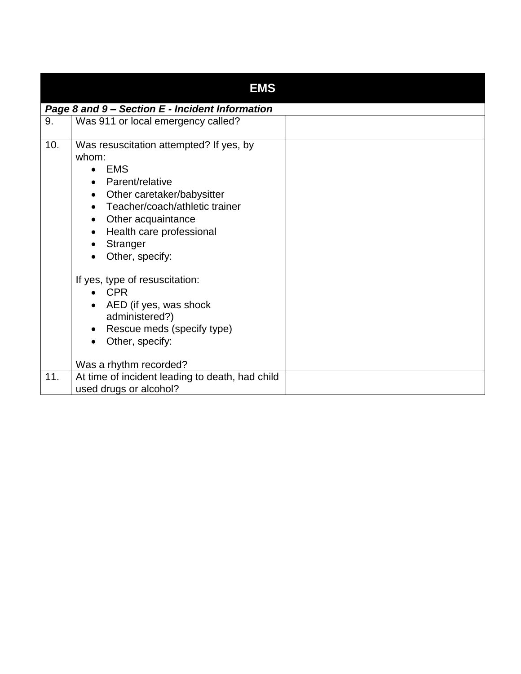|     | <b>EMS</b>                                                                                                                                                                                                                                                                |  |  |  |  |
|-----|---------------------------------------------------------------------------------------------------------------------------------------------------------------------------------------------------------------------------------------------------------------------------|--|--|--|--|
|     | Page 8 and 9 - Section E - Incident Information                                                                                                                                                                                                                           |  |  |  |  |
| 9.  | Was 911 or local emergency called?                                                                                                                                                                                                                                        |  |  |  |  |
| 10. | Was resuscitation attempted? If yes, by<br>whom:<br><b>EMS</b><br>Parent/relative<br>Other caretaker/babysitter<br>$\bullet$<br>Teacher/coach/athletic trainer<br>Other acquaintance<br>$\bullet$<br>Health care professional<br>$\bullet$<br>Stranger<br>Other, specify: |  |  |  |  |
|     | If yes, type of resuscitation:<br><b>CPR</b>                                                                                                                                                                                                                              |  |  |  |  |
|     | AED (if yes, was shock<br>$\bullet$<br>administered?)<br>Rescue meds (specify type)<br>Other, specify:                                                                                                                                                                    |  |  |  |  |
|     |                                                                                                                                                                                                                                                                           |  |  |  |  |
|     | Was a rhythm recorded?                                                                                                                                                                                                                                                    |  |  |  |  |
| 11. | At time of incident leading to death, had child<br>used drugs or alcohol?                                                                                                                                                                                                 |  |  |  |  |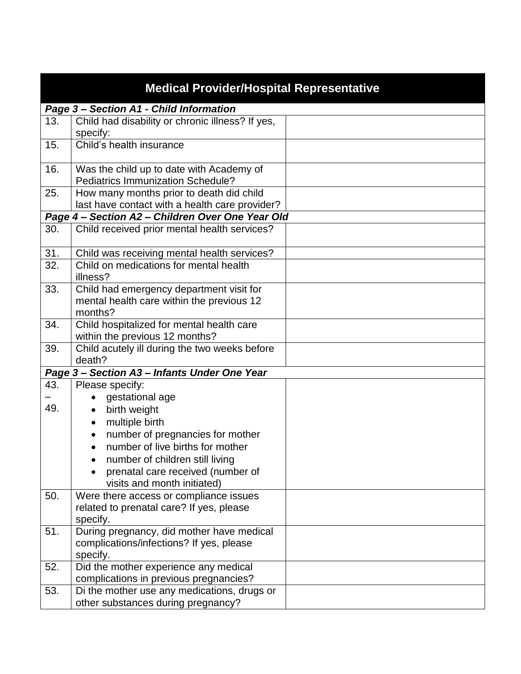|     | <b>Medical Provider/Hospital Representative</b>         |  |
|-----|---------------------------------------------------------|--|
|     | Page 3 - Section A1 - Child Information                 |  |
| 13. | Child had disability or chronic illness? If yes,        |  |
|     | specify:                                                |  |
| 15. | Child's health insurance                                |  |
| 16. | Was the child up to date with Academy of                |  |
|     | <b>Pediatrics Immunization Schedule?</b>                |  |
| 25. | How many months prior to death did child                |  |
|     | last have contact with a health care provider?          |  |
|     | Page 4 - Section A2 - Children Over One Year Old        |  |
| 30. | Child received prior mental health services?            |  |
| 31. | Child was receiving mental health services?             |  |
| 32. | Child on medications for mental health<br>illness?      |  |
| 33. | Child had emergency department visit for                |  |
|     | mental health care within the previous 12               |  |
|     | months?                                                 |  |
| 34. | Child hospitalized for mental health care               |  |
|     | within the previous 12 months?                          |  |
| 39. | Child acutely ill during the two weeks before<br>death? |  |
|     | Page 3- Section A3- Infants Under One Year              |  |
| 43. | Please specify:                                         |  |
|     | gestational age                                         |  |
| 49. | birth weight<br>$\bullet$                               |  |
|     | multiple birth<br>$\bullet$                             |  |
|     | number of pregnancies for mother<br>$\bullet$           |  |
|     | number of live births for mother<br>$\bullet$           |  |
|     | number of children still living                         |  |
|     | prenatal care received (number of                       |  |
|     | visits and month initiated)                             |  |
| 50. | Were there access or compliance issues                  |  |
|     | related to prenatal care? If yes, please                |  |
|     | specify.                                                |  |
| 51. | During pregnancy, did mother have medical               |  |
|     | complications/infections? If yes, please                |  |
|     | specify.                                                |  |
| 52. | Did the mother experience any medical                   |  |
|     | complications in previous pregnancies?                  |  |
| 53. | Di the mother use any medications, drugs or             |  |
|     | other substances during pregnancy?                      |  |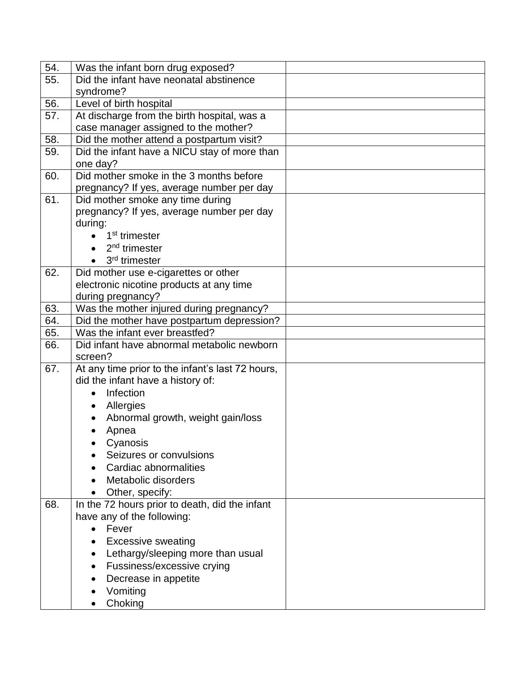| 54. | Was the infant born drug exposed?                |  |
|-----|--------------------------------------------------|--|
| 55. | Did the infant have neonatal abstinence          |  |
|     | syndrome?                                        |  |
| 56. | Level of birth hospital                          |  |
| 57. | At discharge from the birth hospital, was a      |  |
|     | case manager assigned to the mother?             |  |
| 58. | Did the mother attend a postpartum visit?        |  |
| 59. | Did the infant have a NICU stay of more than     |  |
|     | one day?                                         |  |
| 60. | Did mother smoke in the 3 months before          |  |
|     | pregnancy? If yes, average number per day        |  |
| 61. | Did mother smoke any time during                 |  |
|     | pregnancy? If yes, average number per day        |  |
|     | during:                                          |  |
|     | 1 <sup>st</sup> trimester                        |  |
|     | $2nd$ trimester                                  |  |
|     | 3 <sup>rd</sup> trimester                        |  |
| 62. | Did mother use e-cigarettes or other             |  |
|     | electronic nicotine products at any time         |  |
|     | during pregnancy?                                |  |
| 63. | Was the mother injured during pregnancy?         |  |
| 64. | Did the mother have postpartum depression?       |  |
| 65. | Was the infant ever breastfed?                   |  |
| 66. | Did infant have abnormal metabolic newborn       |  |
|     | screen?                                          |  |
| 67. | At any time prior to the infant's last 72 hours, |  |
|     | did the infant have a history of:                |  |
|     | Infection                                        |  |
|     | Allergies<br>$\bullet$                           |  |
|     | Abnormal growth, weight gain/loss                |  |
|     | Apnea                                            |  |
|     | Cyanosis                                         |  |
|     | Seizures or convulsions                          |  |
|     | Cardiac abnormalities                            |  |
|     | Metabolic disorders                              |  |
|     | Other, specify:                                  |  |
| 68. | In the 72 hours prior to death, did the infant   |  |
|     | have any of the following:                       |  |
|     | Fever<br>$\bullet$                               |  |
|     | <b>Excessive sweating</b>                        |  |
|     | Lethargy/sleeping more than usual<br>$\bullet$   |  |
|     | Fussiness/excessive crying                       |  |
|     | Decrease in appetite                             |  |
|     | Vomiting                                         |  |
|     | Choking                                          |  |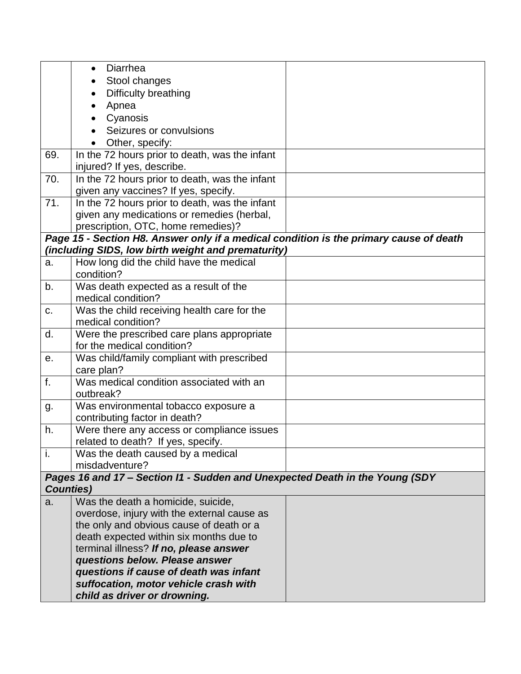|                  | Diarrhea<br>$\bullet$                                                                  |  |
|------------------|----------------------------------------------------------------------------------------|--|
|                  | Stool changes                                                                          |  |
|                  | Difficulty breathing<br>$\bullet$                                                      |  |
|                  | Apnea<br>$\bullet$                                                                     |  |
|                  | Cyanosis                                                                               |  |
|                  | Seizures or convulsions                                                                |  |
|                  | Other, specify:                                                                        |  |
| 69.              | In the 72 hours prior to death, was the infant                                         |  |
|                  | injured? If yes, describe.                                                             |  |
| 70.              | In the 72 hours prior to death, was the infant                                         |  |
|                  | given any vaccines? If yes, specify.                                                   |  |
| 71.              | In the 72 hours prior to death, was the infant                                         |  |
|                  | given any medications or remedies (herbal,                                             |  |
|                  | prescription, OTC, home remedies)?                                                     |  |
|                  | Page 15 - Section H8. Answer only if a medical condition is the primary cause of death |  |
|                  | (including SIDS, low birth weight and prematurity)                                     |  |
| a.               | How long did the child have the medical<br>condition?                                  |  |
| b.               | Was death expected as a result of the                                                  |  |
|                  | medical condition?                                                                     |  |
| C.               | Was the child receiving health care for the                                            |  |
|                  | medical condition?                                                                     |  |
| d.               | Were the prescribed care plans appropriate                                             |  |
|                  | for the medical condition?                                                             |  |
| е.               | Was child/family compliant with prescribed                                             |  |
|                  | care plan?                                                                             |  |
| f.               | Was medical condition associated with an                                               |  |
|                  | outbreak?                                                                              |  |
| g.               | Was environmental tobacco exposure a                                                   |  |
|                  | contributing factor in death?                                                          |  |
| h.               | Were there any access or compliance issues                                             |  |
|                  | related to death? If yes, specify.                                                     |  |
| i.               | Was the death caused by a medical                                                      |  |
|                  | misdadventure?                                                                         |  |
|                  | Pages 16 and 17 - Section I1 - Sudden and Unexpected Death in the Young (SDY           |  |
| <b>Counties)</b> |                                                                                        |  |
| a.               | Was the death a homicide, suicide,                                                     |  |
|                  | overdose, injury with the external cause as                                            |  |
|                  | the only and obvious cause of death or a                                               |  |
|                  | death expected within six months due to<br>terminal illness? If no, please answer      |  |
|                  | questions below. Please answer                                                         |  |
|                  | questions if cause of death was infant                                                 |  |
|                  | suffocation, motor vehicle crash with                                                  |  |
|                  | child as driver or drowning.                                                           |  |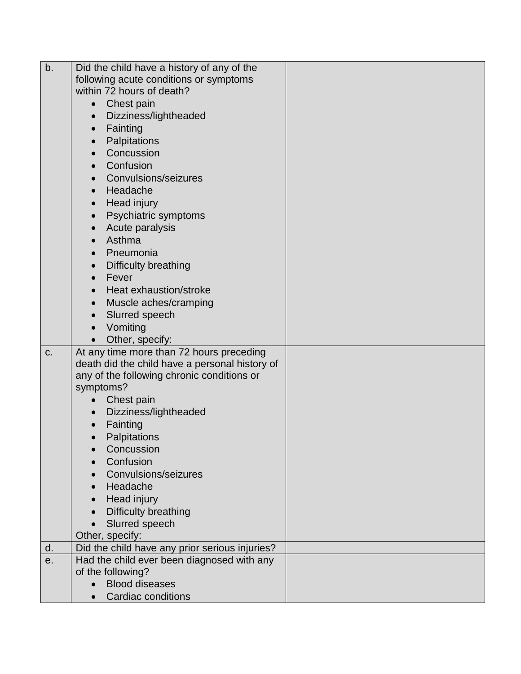| b. | Did the child have a history of any of the     |  |
|----|------------------------------------------------|--|
|    | following acute conditions or symptoms         |  |
|    | within 72 hours of death?                      |  |
|    | Chest pain<br>$\bullet$                        |  |
|    | Dizziness/lightheaded<br>$\bullet$             |  |
|    | Fainting<br>$\bullet$                          |  |
|    | Palpitations<br>$\bullet$                      |  |
|    | Concussion<br>$\bullet$                        |  |
|    | Confusion<br>$\bullet$                         |  |
|    | Convulsions/seizures<br>$\bullet$              |  |
|    | Headache<br>$\bullet$                          |  |
|    | Head injury<br>$\bullet$                       |  |
|    | Psychiatric symptoms<br>$\bullet$              |  |
|    | Acute paralysis<br>$\bullet$                   |  |
|    | Asthma<br>$\bullet$                            |  |
|    | Pneumonia<br>$\bullet$                         |  |
|    | Difficulty breathing<br>$\bullet$              |  |
|    | Fever<br>$\bullet$                             |  |
|    | Heat exhaustion/stroke<br>$\bullet$            |  |
|    | Muscle aches/cramping<br>$\bullet$             |  |
|    | Slurred speech<br>$\bullet$                    |  |
|    | Vomiting<br>$\bullet$                          |  |
|    | Other, specify:<br>$\bullet$                   |  |
| C. | At any time more than 72 hours preceding       |  |
|    | death did the child have a personal history of |  |
|    | any of the following chronic conditions or     |  |
|    | symptoms?                                      |  |
|    | Chest pain<br>$\bullet$                        |  |
|    | Dizziness/lightheaded<br>$\bullet$             |  |
|    | Fainting<br>$\bullet$                          |  |
|    | Palpitations<br>$\bullet$                      |  |
|    | Concussion                                     |  |
|    | Confusion                                      |  |
|    | Convulsions/seizures                           |  |
|    | Headache<br>$\bullet$                          |  |
|    | Head injury<br>$\bullet$                       |  |
|    | Difficulty breathing                           |  |
|    | Slurred speech<br>$\bullet$                    |  |
|    | Other, specify:                                |  |
| d. | Did the child have any prior serious injuries? |  |
| е. | Had the child ever been diagnosed with any     |  |
|    | of the following?                              |  |
|    | <b>Blood diseases</b>                          |  |
|    | <b>Cardiac conditions</b>                      |  |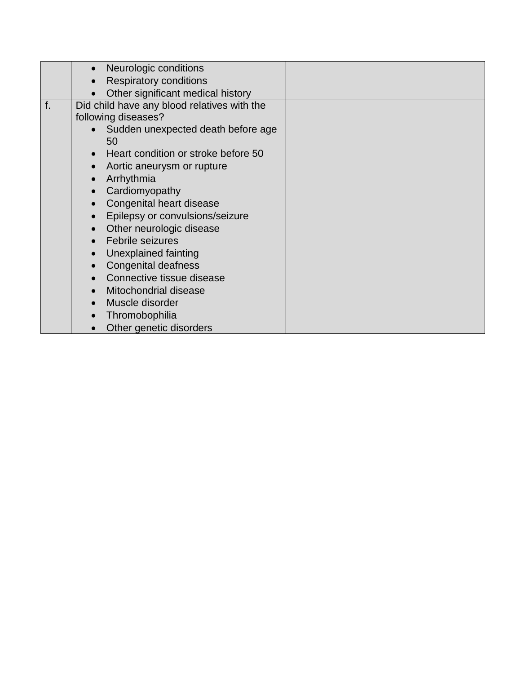|    | Neurologic conditions                       |  |
|----|---------------------------------------------|--|
|    | <b>Respiratory conditions</b>               |  |
|    | Other significant medical history           |  |
| f. | Did child have any blood relatives with the |  |
|    | following diseases?                         |  |
|    | Sudden unexpected death before age          |  |
|    | 50                                          |  |
|    | Heart condition or stroke before 50         |  |
|    | Aortic aneurysm or rupture                  |  |
|    | Arrhythmia                                  |  |
|    | Cardiomyopathy<br>$\bullet$                 |  |
|    | Congenital heart disease                    |  |
|    | Epilepsy or convulsions/seizure             |  |
|    | Other neurologic disease                    |  |
|    | <b>Febrile seizures</b>                     |  |
|    | Unexplained fainting                        |  |
|    | <b>Congenital deafness</b>                  |  |
|    | Connective tissue disease                   |  |
|    | Mitochondrial disease<br>$\bullet$          |  |
|    | Muscle disorder                             |  |
|    | Thromobophilia                              |  |
|    | Other genetic disorders                     |  |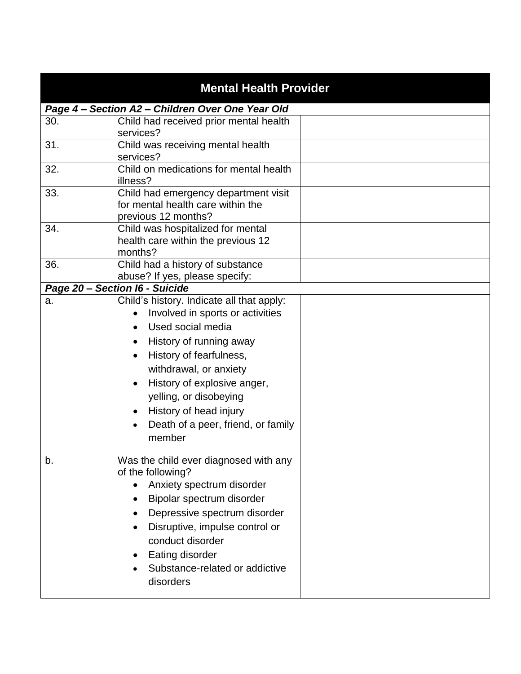| <b>Mental Health Provider</b> |                                                                                                                                                                                                                                                                                                                       |  |
|-------------------------------|-----------------------------------------------------------------------------------------------------------------------------------------------------------------------------------------------------------------------------------------------------------------------------------------------------------------------|--|
|                               | Page 4 - Section A2 - Children Over One Year Old                                                                                                                                                                                                                                                                      |  |
| 30.                           | Child had received prior mental health<br>services?                                                                                                                                                                                                                                                                   |  |
| 31.                           | Child was receiving mental health<br>services?                                                                                                                                                                                                                                                                        |  |
| 32.                           | Child on medications for mental health<br>illness?                                                                                                                                                                                                                                                                    |  |
| 33.                           | Child had emergency department visit<br>for mental health care within the<br>previous 12 months?                                                                                                                                                                                                                      |  |
| 34.                           | Child was hospitalized for mental<br>health care within the previous 12<br>months?                                                                                                                                                                                                                                    |  |
| 36.                           | Child had a history of substance<br>abuse? If yes, please specify:                                                                                                                                                                                                                                                    |  |
|                               | Page 20 - Section I6 - Suicide                                                                                                                                                                                                                                                                                        |  |
| a.                            | Child's history. Indicate all that apply:<br>Involved in sports or activities<br>Used social media<br>History of running away<br>History of fearfulness,<br>withdrawal, or anxiety<br>History of explosive anger,<br>yelling, or disobeying<br>History of head injury<br>Death of a peer, friend, or family<br>member |  |
| b.                            | Was the child ever diagnosed with any<br>of the following?<br>Anxiety spectrum disorder<br>Bipolar spectrum disorder<br>Depressive spectrum disorder<br>Disruptive, impulse control or<br>conduct disorder<br>Eating disorder<br>Substance-related or addictive<br>disorders                                          |  |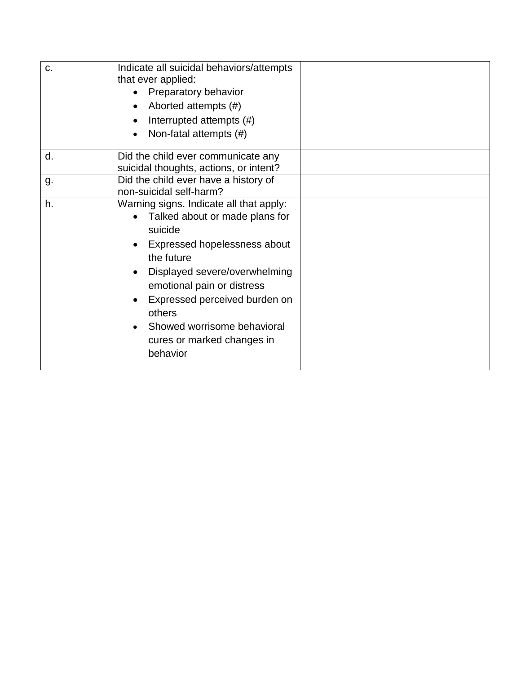| c. | Indicate all suicidal behaviors/attempts<br>that ever applied:<br>Preparatory behavior<br>Aborted attempts (#)<br>Interrupted attempts (#)<br>Non-fatal attempts (#)                                                                                                                                                  |  |
|----|-----------------------------------------------------------------------------------------------------------------------------------------------------------------------------------------------------------------------------------------------------------------------------------------------------------------------|--|
| d. | Did the child ever communicate any<br>suicidal thoughts, actions, or intent?                                                                                                                                                                                                                                          |  |
| g. | Did the child ever have a history of<br>non-suicidal self-harm?                                                                                                                                                                                                                                                       |  |
| h. | Warning signs. Indicate all that apply:<br>Talked about or made plans for<br>suicide<br>Expressed hopelessness about<br>the future<br>Displayed severe/overwhelming<br>emotional pain or distress<br>Expressed perceived burden on<br>others<br>Showed worrisome behavioral<br>cures or marked changes in<br>behavior |  |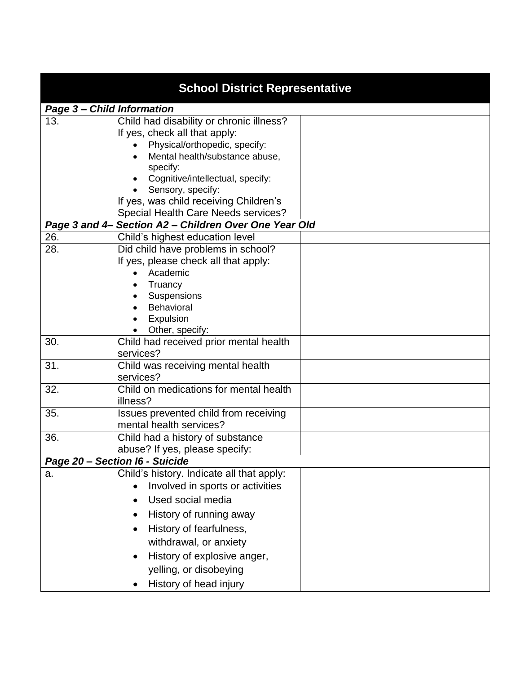| <b>School District Representative</b> |                                                                                                                                                                                                                                                                                                    |  |
|---------------------------------------|----------------------------------------------------------------------------------------------------------------------------------------------------------------------------------------------------------------------------------------------------------------------------------------------------|--|
| <b>Page 3- Child Information</b>      |                                                                                                                                                                                                                                                                                                    |  |
| 13.                                   | Child had disability or chronic illness?<br>If yes, check all that apply:<br>Physical/orthopedic, specify:<br>Mental health/substance abuse,<br>specify:<br>Cognitive/intellectual, specify:<br>Sensory, specify:<br>If yes, was child receiving Children's<br>Special Health Care Needs services? |  |
|                                       | Page 3 and 4- Section A2 - Children Over One Year Old                                                                                                                                                                                                                                              |  |
| 26.                                   | Child's highest education level                                                                                                                                                                                                                                                                    |  |
| 28.                                   | Did child have problems in school?<br>If yes, please check all that apply:<br>Academic<br>Truancy<br>Suspensions<br>Behavioral<br>Expulsion<br>Other, specify:                                                                                                                                     |  |
| 30.                                   | Child had received prior mental health<br>services?                                                                                                                                                                                                                                                |  |
| 31.                                   | Child was receiving mental health<br>services?                                                                                                                                                                                                                                                     |  |
| 32.                                   | Child on medications for mental health<br>illness?                                                                                                                                                                                                                                                 |  |
| 35.                                   | Issues prevented child from receiving<br>mental health services?                                                                                                                                                                                                                                   |  |
| 36.                                   | Child had a history of substance<br>abuse? If yes, please specify:                                                                                                                                                                                                                                 |  |
|                                       | Page 20 - Section I6 - Suicide                                                                                                                                                                                                                                                                     |  |
| a.                                    | Child's history. Indicate all that apply:<br>Involved in sports or activities<br>Used social media<br>History of running away<br>History of fearfulness,<br>withdrawal, or anxiety<br>History of explosive anger,<br>yelling, or disobeying<br>History of head injury                              |  |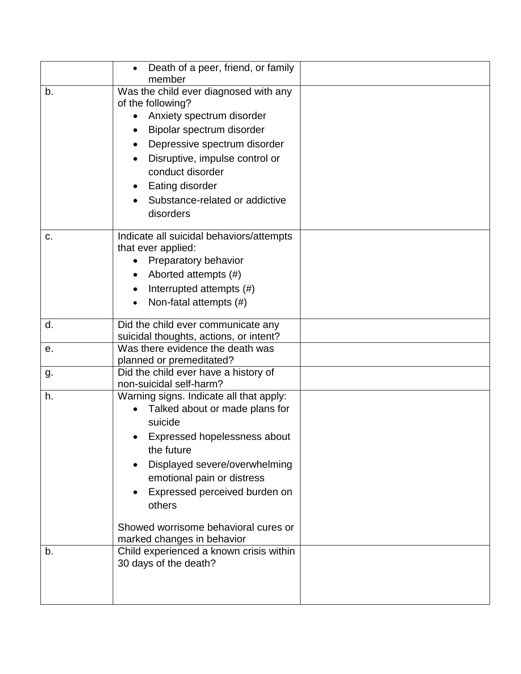|    | Death of a peer, friend, or family<br>member                                 |  |
|----|------------------------------------------------------------------------------|--|
| b. | Was the child ever diagnosed with any<br>of the following?                   |  |
|    | Anxiety spectrum disorder                                                    |  |
|    | Bipolar spectrum disorder                                                    |  |
|    | Depressive spectrum disorder                                                 |  |
|    | Disruptive, impulse control or                                               |  |
|    | conduct disorder                                                             |  |
|    | Eating disorder                                                              |  |
|    | Substance-related or addictive                                               |  |
|    | disorders                                                                    |  |
| C. | Indicate all suicidal behaviors/attempts                                     |  |
|    | that ever applied:<br>Preparatory behavior                                   |  |
|    | Aborted attempts (#)                                                         |  |
|    | Interrupted attempts (#)                                                     |  |
|    | Non-fatal attempts (#)                                                       |  |
|    |                                                                              |  |
| d. | Did the child ever communicate any<br>suicidal thoughts, actions, or intent? |  |
| е. | Was there evidence the death was                                             |  |
|    | planned or premeditated?                                                     |  |
| g. | Did the child ever have a history of<br>non-suicidal self-harm?              |  |
| h. | Warning signs. Indicate all that apply:                                      |  |
|    | Talked about or made plans for                                               |  |
|    | suicide                                                                      |  |
|    | Expressed hopelessness about<br>the future                                   |  |
|    | Displayed severe/overwhelming                                                |  |
|    | emotional pain or distress                                                   |  |
|    | Expressed perceived burden on                                                |  |
|    | others                                                                       |  |
|    | Showed worrisome behavioral cures or                                         |  |
|    | marked changes in behavior                                                   |  |
| b. | Child experienced a known crisis within                                      |  |
|    | 30 days of the death?                                                        |  |
|    |                                                                              |  |
|    |                                                                              |  |